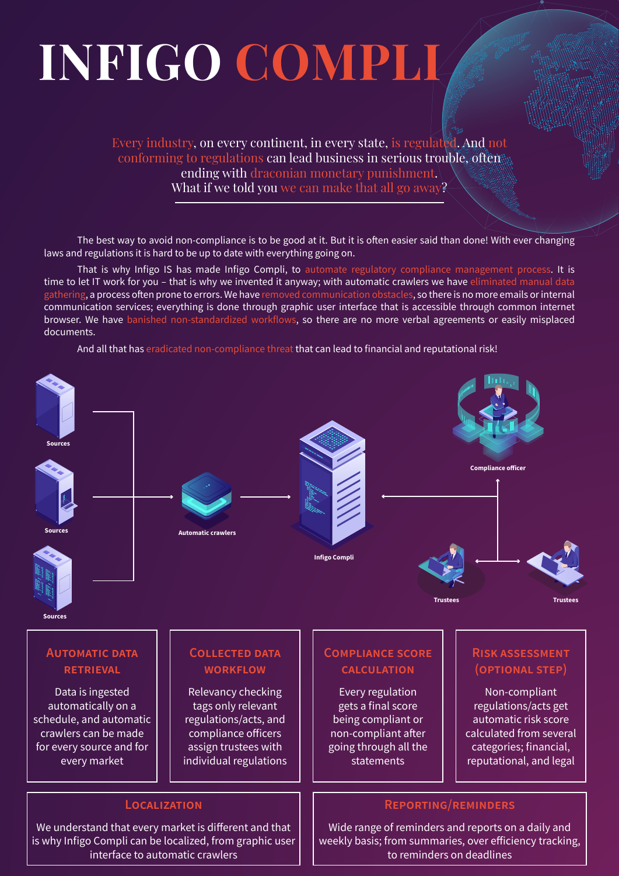# **INFIGO COMPLI**

Every industry, on every continent, in every state, is regulated. And not conforming to regulations can lead business in serious trouble, often ending with draconian monetary punishment. What if we told you we can make that all go away?

The best way to avoid non-compliance is to be good at it. But it is often easier said than done! With ever changing laws and regulations it is hard to be up to date with everything going on.

That is why Infigo IS has made Infigo Compli, to automate regulatory compliance management process. It is time to let IT work for you – that is why we invented it anyway; with automatic crawlers we have eliminated manual data gathering, a process often prone to errors. We have removed communication obstacles, so there is no more emails or internal communication services; everything is done through graphic user interface that is accessible through common internet browser. We have banished non-standardized workflows, so there are no more verbal agreements or easily misplaced documents.

And all that has eradicated non-compliance threat that can lead to financial and reputational risk!